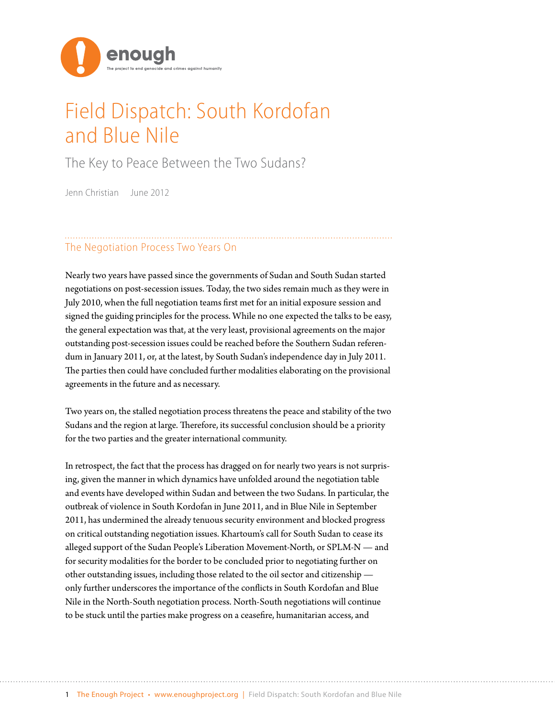

## Field Dispatch: South Kordofan and Blue Nile

The Key to Peace Between the Two Sudans?

Jenn Christian June 2012

## The Negotiation Process Two Years On

Nearly two years have passed since the governments of Sudan and South Sudan started negotiations on post-secession issues. Today, the two sides remain much as they were in July 2010, when the full negotiation teams first met for an initial exposure session and signed the guiding principles for the process. While no one expected the talks to be easy, the general expectation was that, at the very least, provisional agreements on the major outstanding post-secession issues could be reached before the Southern Sudan referendum in January 2011, or, at the latest, by South Sudan's independence day in July 2011. The parties then could have concluded further modalities elaborating on the provisional agreements in the future and as necessary.

Two years on, the stalled negotiation process threatens the peace and stability of the two Sudans and the region at large. Therefore, its successful conclusion should be a priority for the two parties and the greater international community.

In retrospect, the fact that the process has dragged on for nearly two years is not surprising, given the manner in which dynamics have unfolded around the negotiation table and events have developed within Sudan and between the two Sudans. In particular, the outbreak of violence in South Kordofan in June 2011, and in Blue Nile in September 2011, has undermined the already tenuous security environment and blocked progress on critical outstanding negotiation issues. Khartoum's call for South Sudan to cease its alleged support of the Sudan People's Liberation Movement-North, or SPLM-N — and for security modalities for the border to be concluded prior to negotiating further on other outstanding issues, including those related to the oil sector and citizenship only further underscores the importance of the conflicts in South Kordofan and Blue Nile in the North-South negotiation process. North-South negotiations will continue to be stuck until the parties make progress on a ceasefire, humanitarian access, and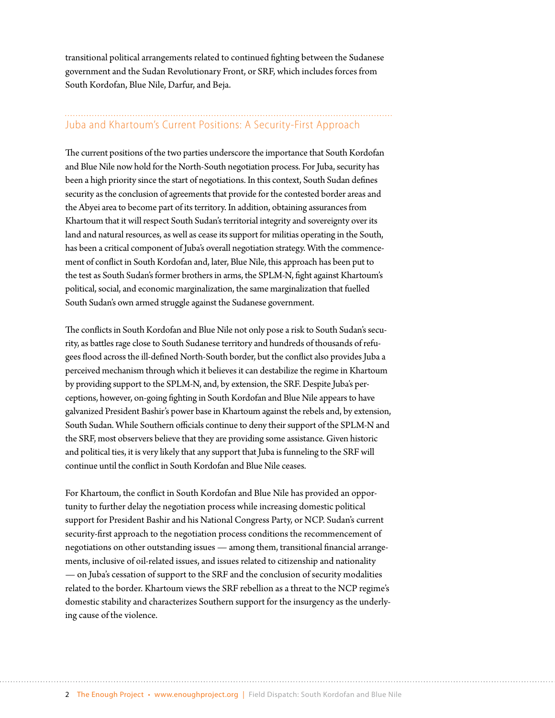transitional political arrangements related to continued fighting between the Sudanese government and the Sudan Revolutionary Front, or SRF, which includes forces from South Kordofan, Blue Nile, Darfur, and Beja.

## Juba and Khartoum's Current Positions: A Security-First Approach

The current positions of the two parties underscore the importance that South Kordofan and Blue Nile now hold for the North-South negotiation process. For Juba, security has been a high priority since the start of negotiations. In this context, South Sudan defines security as the conclusion of agreements that provide for the contested border areas and the Abyei area to become part of its territory. In addition, obtaining assurances from Khartoum that it will respect South Sudan's territorial integrity and sovereignty over its land and natural resources, as well as cease its support for militias operating in the South, has been a critical component of Juba's overall negotiation strategy. With the commencement of conflict in South Kordofan and, later, Blue Nile, this approach has been put to the test as South Sudan's former brothers in arms, the SPLM-N, fight against Khartoum's political, social, and economic marginalization, the same marginalization that fuelled South Sudan's own armed struggle against the Sudanese government.

The conflicts in South Kordofan and Blue Nile not only pose a risk to South Sudan's security, as battles rage close to South Sudanese territory and hundreds of thousands of refugees flood across the ill-defined North-South border, but the conflict also provides Juba a perceived mechanism through which it believes it can destabilize the regime in Khartoum by providing support to the SPLM-N, and, by extension, the SRF. Despite Juba's perceptions, however, on-going fighting in South Kordofan and Blue Nile appears to have galvanized President Bashir's power base in Khartoum against the rebels and, by extension, South Sudan. While Southern officials continue to deny their support of the SPLM-N and the SRF, most observers believe that they are providing some assistance. Given historic and political ties, it is very likely that any support that Juba is funneling to the SRF will continue until the conflict in South Kordofan and Blue Nile ceases.

For Khartoum, the conflict in South Kordofan and Blue Nile has provided an opportunity to further delay the negotiation process while increasing domestic political support for President Bashir and his National Congress Party, or NCP. Sudan's current security-first approach to the negotiation process conditions the recommencement of negotiations on other outstanding issues — among them, transitional financial arrangements, inclusive of oil-related issues, and issues related to citizenship and nationality — on Juba's cessation of support to the SRF and the conclusion of security modalities related to the border. Khartoum views the SRF rebellion as a threat to the NCP regime's domestic stability and characterizes Southern support for the insurgency as the underlying cause of the violence.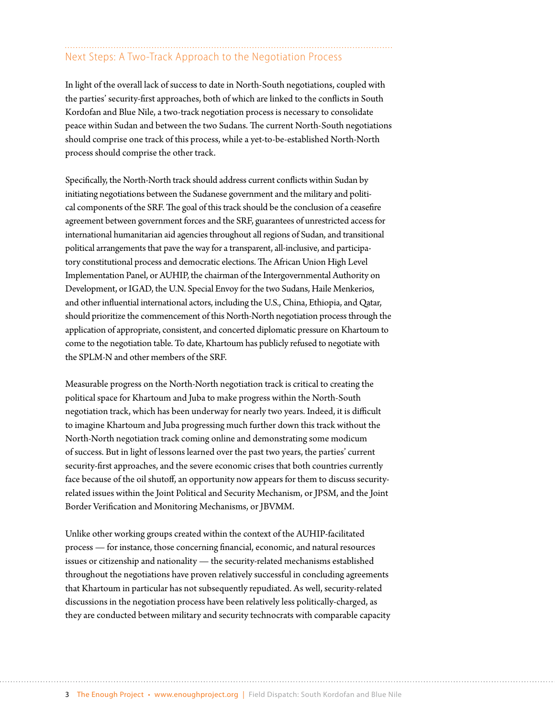## Next Steps: A Two-Track Approach to the Negotiation Process

In light of the overall lack of success to date in North-South negotiations, coupled with the parties' security-first approaches, both of which are linked to the conflicts in South Kordofan and Blue Nile, a two-track negotiation process is necessary to consolidate peace within Sudan and between the two Sudans. The current North-South negotiations should comprise one track of this process, while a yet-to-be-established North-North process should comprise the other track.

Specifically, the North-North track should address current conflicts within Sudan by initiating negotiations between the Sudanese government and the military and political components of the SRF. The goal of this track should be the conclusion of a ceasefire agreement between government forces and the SRF, guarantees of unrestricted access for international humanitarian aid agencies throughout all regions of Sudan, and transitional political arrangements that pave the way for a transparent, all-inclusive, and participatory constitutional process and democratic elections. The African Union High Level Implementation Panel, or AUHIP, the chairman of the Intergovernmental Authority on Development, or IGAD, the U.N. Special Envoy for the two Sudans, Haile Menkerios, and other influential international actors, including the U.S., China, Ethiopia, and Qatar, should prioritize the commencement of this North-North negotiation process through the application of appropriate, consistent, and concerted diplomatic pressure on Khartoum to come to the negotiation table. To date, Khartoum has publicly refused to negotiate with the SPLM-N and other members of the SRF.

Measurable progress on the North-North negotiation track is critical to creating the political space for Khartoum and Juba to make progress within the North-South negotiation track, which has been underway for nearly two years. Indeed, it is difficult to imagine Khartoum and Juba progressing much further down this track without the North-North negotiation track coming online and demonstrating some modicum of success. But in light of lessons learned over the past two years, the parties' current security-first approaches, and the severe economic crises that both countries currently face because of the oil shutoff, an opportunity now appears for them to discuss securityrelated issues within the Joint Political and Security Mechanism, or JPSM, and the Joint Border Verification and Monitoring Mechanisms, or JBVMM.

Unlike other working groups created within the context of the AUHIP-facilitated process — for instance, those concerning financial, economic, and natural resources issues or citizenship and nationality — the security-related mechanisms established throughout the negotiations have proven relatively successful in concluding agreements that Khartoum in particular has not subsequently repudiated. As well, security-related discussions in the negotiation process have been relatively less politically-charged, as they are conducted between military and security technocrats with comparable capacity